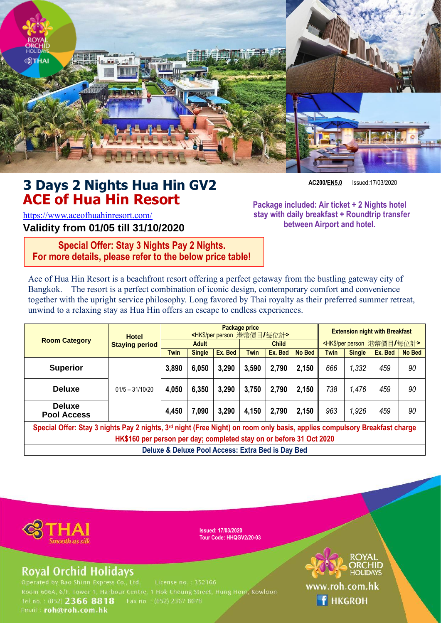

# **3 Days 2 Nights Hua Hin GV2 ACE of Hua Hin Resort**

**AC200/EN5.0** Issued:17/03/2020

<https://www.aceofhuahinresort.com/> **Validity from 01/05 till 31/10/2020** **Package included: Air ticket + 2 Nights hotel stay with daily breakfast + Roundtrip transfer between Airport and hotel.**

**Special Offer: Stay 3 Nights Pay 2 Nights. For more details, please refer to the below price table!**

Ace of Hua Hin Resort is a beachfront resort offering a perfect getaway from the bustling gateway city of Bangkok. The resort is a perfect combination of iconic design, contemporary comfort and convenience together with the upright service philosophy. Long favored by Thai royalty as their preferred summer retreat, unwind to a relaxing stay as Hua Hin offers an escape to endless experiences.

| <b>Room Category</b>                                                                                                                                                                                         | <b>Hotel</b><br><b>Staying period</b> | <b>Package price</b><br><hk\$ per="" person="" 每位計="" 港幣價目=""></hk\$> |               |         |              |         | <b>Extension night with Breakfast</b> |                                               |               |         |               |
|--------------------------------------------------------------------------------------------------------------------------------------------------------------------------------------------------------------|---------------------------------------|-----------------------------------------------------------------------|---------------|---------|--------------|---------|---------------------------------------|-----------------------------------------------|---------------|---------|---------------|
|                                                                                                                                                                                                              |                                       | <b>Adult</b>                                                          |               |         | <b>Child</b> |         |                                       | <hk\$ per="" person="" 每位計="" 港幣價目=""></hk\$> |               |         |               |
|                                                                                                                                                                                                              |                                       | <b>Twin</b>                                                           | <b>Single</b> | Ex. Bed | <b>Twin</b>  | Ex. Bed | <b>No Bed</b>                         | <b>Twin</b>                                   | <b>Single</b> | Ex. Bed | <b>No Bed</b> |
| <b>Superior</b>                                                                                                                                                                                              | $01/5 - 31/10/20$                     | 3,890                                                                 | 6,050         | 3,290   | 3,590        | 2,790   | 2,150                                 | 666                                           | 1,332         | 459     | 90            |
| <b>Deluxe</b>                                                                                                                                                                                                |                                       | 4,050                                                                 | 6,350         | 3,290   | 3,750        | 2,790   | 2,150                                 | 738                                           | 1,476         | 459     | 90            |
| <b>Deluxe</b><br><b>Pool Access</b>                                                                                                                                                                          |                                       | 4,450                                                                 | 7,090         | 3,290   | 4,150        | 2,790   | 2,150                                 | 963                                           | 1.926         | 459     | 90            |
| Special Offer: Stay 3 nights Pay 2 nights, 3 <sup>rd</sup> night (Free Night) on room only basis, applies compulsory Breakfast charge<br>HK\$160 per person per day; completed stay on or before 31 Oct 2020 |                                       |                                                                       |               |         |              |         |                                       |                                               |               |         |               |

**Deluxe & Deluxe Pool Access: Extra Bed is Day Bed**



**Issued: 17/03/2020 Tour Code: HHQGV2/20-03**

## **Royal Orchid Holidays**

Room 606A, 6/F, Tower 1, Harbour Centre, 1 Hok Cheung Street, Hung Hom, Kowloon Tel no.: (852) 2366 8818 Fax no.: (852) 2367 8678 Email: roh@roh.com.hk



**f** HKGROH